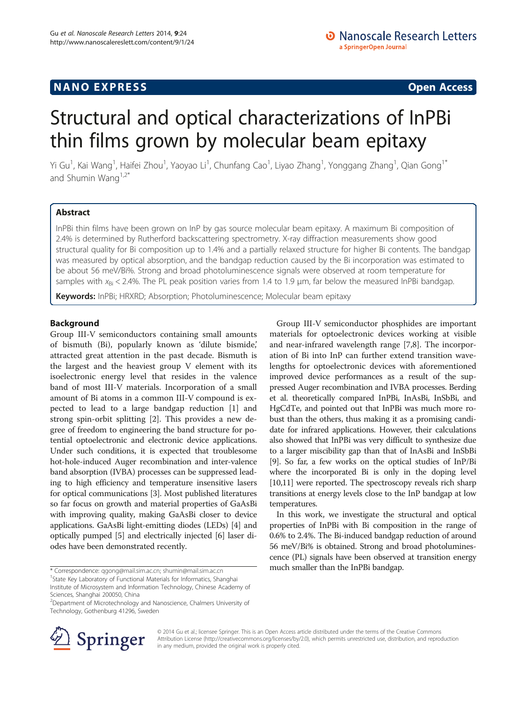# Structural and optical characterizations of InPBi thin films grown by molecular beam epitaxy

Yi Gu<sup>1</sup>, Kai Wang<sup>1</sup>, Haifei Zhou<sup>1</sup>, Yaoyao Li<sup>1</sup>, Chunfang Cao<sup>1</sup>, Liyao Zhang<sup>1</sup>, Yonggang Zhang<sup>1</sup>, Qian Gong<sup>1\*</sup> and Shumin Wang $1.2$ <sup>\*</sup>

# Abstract

InPBi thin films have been grown on InP by gas source molecular beam epitaxy. A maximum Bi composition of 2.4% is determined by Rutherford backscattering spectrometry. X-ray diffraction measurements show good structural quality for Bi composition up to 1.4% and a partially relaxed structure for higher Bi contents. The bandgap was measured by optical absorption, and the bandgap reduction caused by the Bi incorporation was estimated to be about 56 meV/Bi%. Strong and broad photoluminescence signals were observed at room temperature for samples with  $x_{\text{Bi}} < 2.4\%$ . The PL peak position varies from 1.4 to 1.9 µm, far below the measured InPBi bandgap.

Keywords: InPBi; HRXRD; Absorption; Photoluminescence; Molecular beam epitaxy

# Background

Group III-V semiconductors containing small amounts of bismuth (Bi), popularly known as 'dilute bismide,' attracted great attention in the past decade. Bismuth is the largest and the heaviest group V element with its isoelectronic energy level that resides in the valence band of most III-V materials. Incorporation of a small amount of Bi atoms in a common III-V compound is expected to lead to a large bandgap reduction [[1\]](#page-4-0) and strong spin-orbit splitting [\[2\]](#page-4-0). This provides a new degree of freedom to engineering the band structure for potential optoelectronic and electronic device applications. Under such conditions, it is expected that troublesome hot-hole-induced Auger recombination and inter-valence band absorption (IVBA) processes can be suppressed leading to high efficiency and temperature insensitive lasers for optical communications [[3\]](#page-4-0). Most published literatures so far focus on growth and material properties of GaAsBi with improving quality, making GaAsBi closer to device applications. GaAsBi light-emitting diodes (LEDs) [\[4](#page-4-0)] and optically pumped [\[5\]](#page-4-0) and electrically injected [\[6](#page-4-0)] laser diodes have been demonstrated recently.



In this work, we investigate the structural and optical properties of InPBi with Bi composition in the range of 0.6% to 2.4%. The Bi-induced bandgap reduction of around 56 meV/Bi% is obtained. Strong and broad photoluminescence (PL) signals have been observed at transition energy \* Correspondence: [qgong@mail.sim.ac.cn;](mailto:qgong@mail.sim.ac.cn) [shumin@mail.sim.ac.cn](mailto:shumin@mail.sim.ac.cn) much smaller than the InPBi bandgap.



© 2014 Gu et al.; licensee Springer. This is an Open Access article distributed under the terms of the Creative Commons Attribution License [\(http://creativecommons.org/licenses/by/2.0\)](http://creativecommons.org/licenses/by/2.0), which permits unrestricted use, distribution, and reproduction in any medium, provided the original work is properly cited.

 $1$ State Key Laboratory of Functional Materials for Informatics, Shanghai

Institute of Microsystem and Information Technology, Chinese Academy of Sciences, Shanghai 200050, China

<sup>&</sup>lt;sup>2</sup>Department of Microtechnology and Nanoscience, Chalmers University of Technology, Gothenburg 41296, Sweden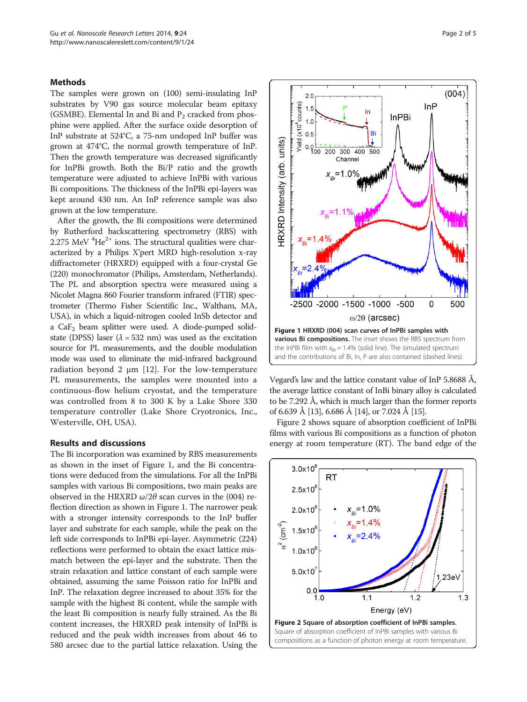## Methods

The samples were grown on (100) semi-insulating InP substrates by V90 gas source molecular beam epitaxy (GSMBE). Elemental In and Bi and  $P_2$  cracked from phosphine were applied. After the surface oxide desorption of InP substrate at 524°C, a 75-nm undoped InP buffer was grown at 474°C, the normal growth temperature of InP. Then the growth temperature was decreased significantly for InPBi growth. Both the Bi/P ratio and the growth temperature were adjusted to achieve InPBi with various Bi compositions. The thickness of the InPBi epi-layers was kept around 430 nm. An InP reference sample was also grown at the low temperature.

After the growth, the Bi compositions were determined by Rutherford backscattering spectrometry (RBS) with  $2.275$  MeV  $^{4}$ He<sup>2+</sup> ions. The structural qualities were characterized by a Philips X'pert MRD high-resolution x-ray diffractometer (HRXRD) equipped with a four-crystal Ge (220) monochromator (Philips, Amsterdam, Netherlands). The PL and absorption spectra were measured using a Nicolet Magna 860 Fourier transform infrared (FTIR) spectrometer (Thermo Fisher Scientific Inc., Waltham, MA, USA), in which a liquid-nitrogen cooled InSb detector and a  $CaF<sub>2</sub>$  beam splitter were used. A diode-pumped solidstate (DPSS) laser ( $\lambda$  = 532 nm) was used as the excitation source for PL measurements, and the double modulation mode was used to eliminate the mid-infrared background radiation beyond 2 μm [\[12\]](#page-4-0). For the low-temperature PL measurements, the samples were mounted into a continuous-flow helium cryostat, and the temperature was controlled from 8 to 300 K by a Lake Shore 330 temperature controller (Lake Shore Cryotronics, Inc., Westerville, OH, USA).

## Results and discussions

The Bi incorporation was examined by RBS measurements as shown in the inset of Figure 1, and the Bi concentrations were deduced from the simulations. For all the InPBi samples with various Bi compositions, two main peaks are observed in the HRXRD  $\omega/2\theta$  scan curves in the (004) reflection direction as shown in Figure 1. The narrower peak with a stronger intensity corresponds to the InP buffer layer and substrate for each sample, while the peak on the left side corresponds to InPBi epi-layer. Asymmetric (224) reflections were performed to obtain the exact lattice mismatch between the epi-layer and the substrate. Then the strain relaxation and lattice constant of each sample were obtained, assuming the same Poisson ratio for InPBi and InP. The relaxation degree increased to about 35% for the sample with the highest Bi content, while the sample with the least Bi composition is nearly fully strained. As the Bi content increases, the HRXRD peak intensity of InPBi is reduced and the peak width increases from about 46 to 580 arcsec due to the partial lattice relaxation. Using the



Vegard's law and the lattice constant value of InP 5.8688 Å, the average lattice constant of InBi binary alloy is calculated to be 7.292 Å, which is much larger than the former reports of 6.639 Å [\[13](#page-4-0)], 6.686 Å [[14](#page-4-0)], or 7.024 Å [[15](#page-4-0)].

Figure 2 shows square of absorption coefficient of InPBi films with various Bi compositions as a function of photon energy at room temperature (RT). The band edge of the

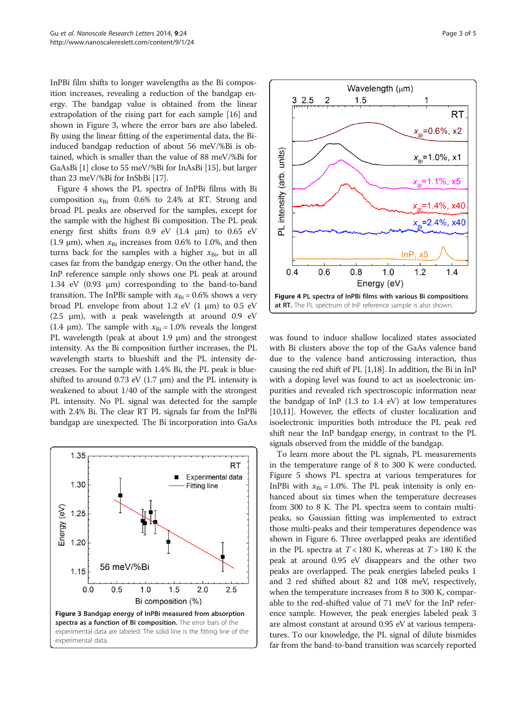InPBi film shifts to longer wavelengths as the Bi composition increases, revealing a reduction of the bandgap energy. The bandgap value is obtained from the linear extrapolation of the rising part for each sample [\[16\]](#page-4-0) and shown in Figure 3, where the error bars are also labeled. By using the linear fitting of the experimental data, the Biinduced bandgap reduction of about 56 meV/%Bi is obtained, which is smaller than the value of 88 meV/%Bi for GaAsBi [[1](#page-4-0)] close to 55 meV/%Bi for InAsBi [\[15](#page-4-0)], but larger than 23 meV/%Bi for InSbBi [\[17](#page-4-0)].

Figure 4 shows the PL spectra of InPBi films with Bi composition  $x_{Bi}$  from 0.6% to 2.4% at RT. Strong and broad PL peaks are observed for the samples, except for the sample with the highest Bi composition. The PL peak energy first shifts from 0.9 eV (1.4 μm) to 0.65 eV (1.9  $\mu$ m), when  $x_{\text{Bi}}$  increases from 0.6% to 1.0%, and then turns back for the samples with a higher  $x_{\text{Bi}}$ , but in all cases far from the bandgap energy. On the other hand, the InP reference sample only shows one PL peak at around 1.34 eV (0.93 μm) corresponding to the band-to-band transition. The InPBi sample with  $x_{\text{Bi}} = 0.6\%$  shows a very broad PL envelope from about 1.2 eV  $(1 \mu m)$  to 0.5 eV (2.5  $\mu$ m), with a peak wavelength at around 0.9 eV (1.4  $\mu$ m). The sample with  $x_{\text{Bi}} = 1.0\%$  reveals the longest PL wavelength (peak at about 1.9 μm) and the strongest intensity. As the Bi composition further increases, the PL wavelength starts to blueshift and the PL intensity decreases. For the sample with 1.4% Bi, the PL peak is blueshifted to around 0.73 eV (1.7  $\mu$ m) and the PL intensity is weakened to about 1/40 of the sample with the strongest PL intensity. No PL signal was detected for the sample with 2.4% Bi. The clear RT PL signals far from the InPBi bandgap are unexpected. The Bi incorporation into GaAs





was found to induce shallow localized states associated with Bi clusters above the top of the GaAs valence band due to the valence band anticrossing interaction, thus causing the red shift of PL [\[1,18\]](#page-4-0). In addition, the Bi in InP with a doping level was found to act as isoelectronic impurities and revealed rich spectroscopic information near the bandgap of InP (1.3 to 1.4 eV) at low temperatures [[10,11](#page-4-0)]. However, the effects of cluster localization and isoelectronic impurities both introduce the PL peak red shift near the InP bandgap energy, in contrast to the PL signals observed from the middle of the bandgap.

To learn more about the PL signals, PL measurements in the temperature range of 8 to 300 K were conducted. Figure [5](#page-3-0) shows PL spectra at various temperatures for InPBi with  $x_{\text{Bi}} = 1.0\%$ . The PL peak intensity is only enhanced about six times when the temperature decreases from 300 to 8 K. The PL spectra seem to contain multipeaks, so Gaussian fitting was implemented to extract those multi-peaks and their temperatures dependence was shown in Figure [6](#page-3-0). Three overlapped peaks are identified in the PL spectra at  $T < 180$  K, whereas at  $T > 180$  K the peak at around 0.95 eV disappears and the other two peaks are overlapped. The peak energies labeled peaks 1 and 2 red shifted about 82 and 108 meV, respectively, when the temperature increases from 8 to 300 K, comparable to the red-shifted value of 71 meV for the InP reference sample. However, the peak energies labeled peak 3 are almost constant at around 0.95 eV at various temperatures. To our knowledge, the PL signal of dilute bismides far from the band-to-band transition was scarcely reported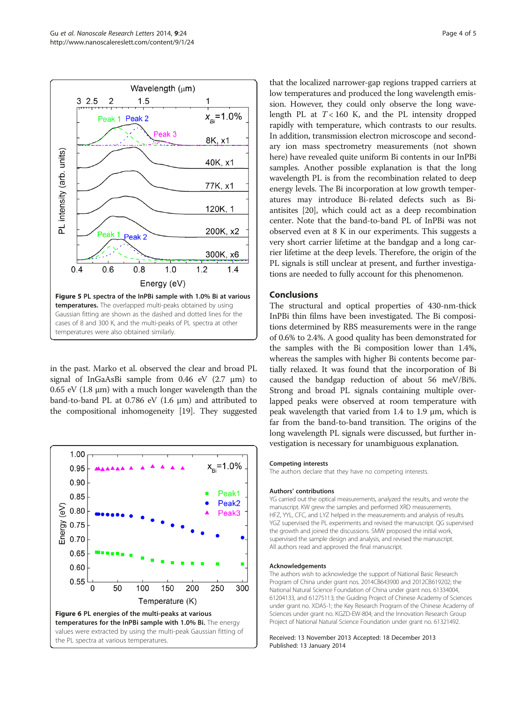<span id="page-3-0"></span>

in the past. Marko et al. observed the clear and broad PL signal of InGaAsBi sample from 0.46 eV (2.7 μm) to 0.65 eV (1.8 μm) with a much longer wavelength than the band-to-band PL at 0.786 eV (1.6 μm) and attributed to the compositional inhomogeneity [\[19](#page-4-0)]. They suggested



that the localized narrower-gap regions trapped carriers at low temperatures and produced the long wavelength emission. However, they could only observe the long wavelength PL at  $T < 160$  K, and the PL intensity dropped rapidly with temperature, which contrasts to our results. In addition, transmission electron microscope and secondary ion mass spectrometry measurements (not shown here) have revealed quite uniform Bi contents in our InPBi samples. Another possible explanation is that the long wavelength PL is from the recombination related to deep energy levels. The Bi incorporation at low growth temperatures may introduce Bi-related defects such as Biantisites [[20](#page-4-0)], which could act as a deep recombination center. Note that the band-to-band PL of InPBi was not observed even at 8 K in our experiments. This suggests a very short carrier lifetime at the bandgap and a long carrier lifetime at the deep levels. Therefore, the origin of the PL signals is still unclear at present, and further investigations are needed to fully account for this phenomenon.

## Conclusions

The structural and optical properties of 430-nm-thick InPBi thin films have been investigated. The Bi compositions determined by RBS measurements were in the range of 0.6% to 2.4%. A good quality has been demonstrated for the samples with the Bi composition lower than 1.4%, whereas the samples with higher Bi contents become partially relaxed. It was found that the incorporation of Bi caused the bandgap reduction of about 56 meV/Bi%. Strong and broad PL signals containing multiple overlapped peaks were observed at room temperature with peak wavelength that varied from 1.4 to 1.9 μm, which is far from the band-to-band transition. The origins of the long wavelength PL signals were discussed, but further investigation is necessary for unambiguous explanation.

#### Competing interests

The authors declare that they have no competing interests.

#### Authors' contributions

YG carried out the optical measurements, analyzed the results, and wrote the manuscript. KW grew the samples and performed XRD measurements. HFZ, YYL, CFC, and LYZ helped in the measurements and analysis of results. YGZ supervised the PL experiments and revised the manuscript. QG supervised the growth and joined the discussions. SMW proposed the initial work, supervised the sample design and analysis, and revised the manuscript. All authors read and approved the final manuscript.

#### Acknowledgements

The authors wish to acknowledge the support of National Basic Research Program of China under grant nos. 2014CB643900 and 2012CB619202; the National Natural Science Foundation of China under grant nos. 61334004, 61204133, and 61275113; the Guiding Project of Chinese Academy of Sciences under grant no. XDA5-1; the Key Research Program of the Chinese Academy of Sciences under grant no. KGZD-EW-804; and the Innovation Research Group Project of National Natural Science Foundation under grant no. 61321492.

#### Received: 13 November 2013 Accepted: 18 December 2013 Published: 13 January 2014